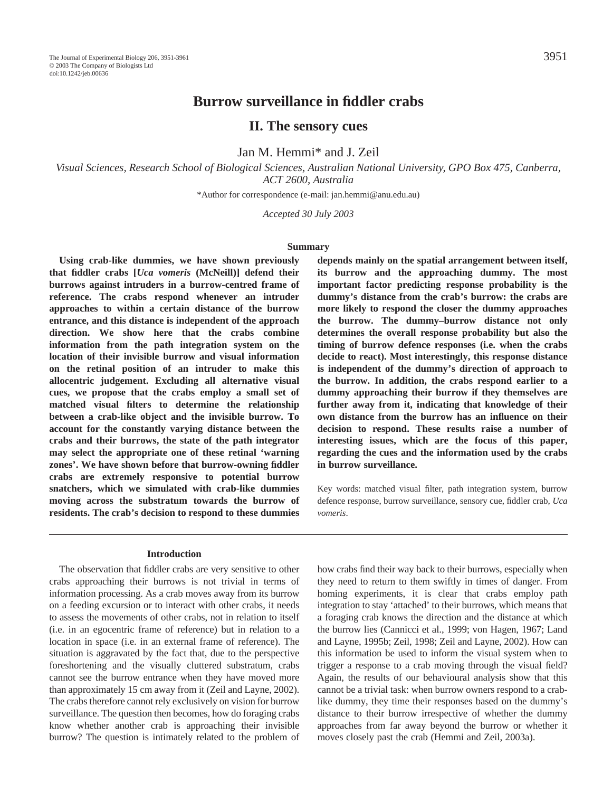# **Burrow surveillance in fiddler crabs**

**II. The sensory cues**

Jan M. Hemmi\* and J. Zeil

*Visual Sciences, Research School of Biological Sciences, Australian National University, GPO Box 475, Canberra, ACT 2600, Australia*

\*Author for correspondence (e-mail: jan.hemmi@anu.edu.au)

*Accepted 30 July 2003*

#### **Summary**

**Using crab-like dummies, we have shown previously that fiddler crabs [***Uca vomeris* **(McNeill)] defend their burrows against intruders in a burrow-centred frame of reference. The crabs respond whenever an intruder approaches to within a certain distance of the burrow entrance, and this distance is independent of the approach direction. We show here that the crabs combine information from the path integration system on the location of their invisible burrow and visual information on the retinal position of an intruder to make this allocentric judgement. Excluding all alternative visual cues, we propose that the crabs employ a small set of matched visual filters to determine the relationship between a crab-like object and the invisible burrow. To account for the constantly varying distance between the crabs and their burrows, the state of the path integrator may select the appropriate one of these retinal 'warning zones'. We have shown before that burrow-owning fiddler crabs are extremely responsive to potential burrow snatchers, which we simulated with crab-like dummies moving across the substratum towards the burrow of residents. The crab's decision to respond to these dummies**

**depends mainly on the spatial arrangement between itself, its burrow and the approaching dummy. The most important factor predicting response probability is the dummy's distance from the crab's burrow: the crabs are more likely to respond the closer the dummy approaches the burrow. The dummy–burrow distance not only determines the overall response probability but also the timing of burrow defence responses (i.e. when the crabs decide to react). Most interestingly, this response distance is independent of the dummy's direction of approach to the burrow. In addition, the crabs respond earlier to a dummy approaching their burrow if they themselves are further away from it, indicating that knowledge of their own distance from the burrow has an influence on their decision to respond. These results raise a number of interesting issues, which are the focus of this paper, regarding the cues and the information used by the crabs in burrow surveillance.** 

Key words: matched visual filter, path integration system, burrow defence response, burrow surveillance, sensory cue, fiddler crab, *Uca vomeris*.

#### **Introduction**

The observation that fiddler crabs are very sensitive to other crabs approaching their burrows is not trivial in terms of information processing. As a crab moves away from its burrow on a feeding excursion or to interact with other crabs, it needs to assess the movements of other crabs, not in relation to itself (i.e. in an egocentric frame of reference) but in relation to a location in space (i.e. in an external frame of reference). The situation is aggravated by the fact that, due to the perspective foreshortening and the visually cluttered substratum, crabs cannot see the burrow entrance when they have moved more than approximately 15 cm away from it (Zeil and Layne, 2002). The crabs therefore cannot rely exclusively on vision for burrow surveillance. The question then becomes, how do foraging crabs know whether another crab is approaching their invisible burrow? The question is intimately related to the problem of

how crabs find their way back to their burrows, especially when they need to return to them swiftly in times of danger. From homing experiments, it is clear that crabs employ path integration to stay 'attached' to their burrows, which means that a foraging crab knows the direction and the distance at which the burrow lies (Cannicci et al., 1999; von Hagen, 1967; Land and Layne, 1995b; Zeil, 1998; Zeil and Layne, 2002). How can this information be used to inform the visual system when to trigger a response to a crab moving through the visual field? Again, the results of our behavioural analysis show that this cannot be a trivial task: when burrow owners respond to a crablike dummy, they time their responses based on the dummy's distance to their burrow irrespective of whether the dummy approaches from far away beyond the burrow or whether it moves closely past the crab (Hemmi and Zeil, 2003a).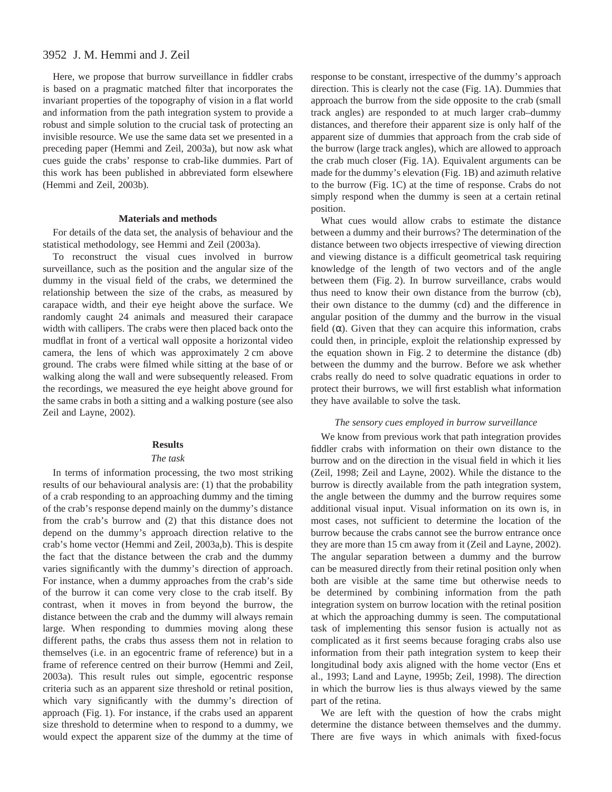# 3952 J. M. Hemmi and J. Zeil

Here, we propose that burrow surveillance in fiddler crabs is based on a pragmatic matched filter that incorporates the invariant properties of the topography of vision in a flat world and information from the path integration system to provide a robust and simple solution to the crucial task of protecting an invisible resource. We use the same data set we presented in a preceding paper (Hemmi and Zeil, 2003a), but now ask what cues guide the crabs' response to crab-like dummies. Part of this work has been published in abbreviated form elsewhere (Hemmi and Zeil, 2003b).

#### **Materials and methods**

For details of the data set, the analysis of behaviour and the statistical methodology, see Hemmi and Zeil (2003a).

To reconstruct the visual cues involved in burrow surveillance, such as the position and the angular size of the dummy in the visual field of the crabs, we determined the relationship between the size of the crabs, as measured by carapace width, and their eye height above the surface. We randomly caught 24 animals and measured their carapace width with callipers. The crabs were then placed back onto the mudflat in front of a vertical wall opposite a horizontal video camera, the lens of which was approximately  $2 \text{ cm}$  above ground. The crabs were filmed while sitting at the base of or walking along the wall and were subsequently released. From the recordings, we measured the eye height above ground for the same crabs in both a sitting and a walking posture (see also Zeil and Layne, 2002).

#### **Results**

#### *The task*

In terms of information processing, the two most striking results of our behavioural analysis are: (1) that the probability of a crab responding to an approaching dummy and the timing of the crab's response depend mainly on the dummy's distance from the crab's burrow and (2) that this distance does not depend on the dummy's approach direction relative to the crab's home vector (Hemmi and Zeil, 2003a,b). This is despite the fact that the distance between the crab and the dummy varies significantly with the dummy's direction of approach. For instance, when a dummy approaches from the crab's side of the burrow it can come very close to the crab itself. By contrast, when it moves in from beyond the burrow, the distance between the crab and the dummy will always remain large. When responding to dummies moving along these different paths, the crabs thus assess them not in relation to themselves (i.e. in an egocentric frame of reference) but in a frame of reference centred on their burrow (Hemmi and Zeil, 2003a). This result rules out simple, egocentric response criteria such as an apparent size threshold or retinal position, which vary significantly with the dummy's direction of approach (Fig. 1). For instance, if the crabs used an apparent size threshold to determine when to respond to a dummy, we would expect the apparent size of the dummy at the time of response to be constant, irrespective of the dummy's approach direction. This is clearly not the case (Fig. 1A). Dummies that approach the burrow from the side opposite to the crab (small track angles) are responded to at much larger crab–dummy distances, and therefore their apparent size is only half of the apparent size of dummies that approach from the crab side of the burrow (large track angles), which are allowed to approach the crab much closer (Fig. 1A). Equivalent arguments can be made for the dummy's elevation (Fig. 1B) and azimuth relative to the burrow (Fig. 1C) at the time of response. Crabs do not simply respond when the dummy is seen at a certain retinal position.

What cues would allow crabs to estimate the distance between a dummy and their burrows? The determination of the distance between two objects irrespective of viewing direction and viewing distance is a difficult geometrical task requiring knowledge of the length of two vectors and of the angle between them (Fig. 2). In burrow surveillance, crabs would thus need to know their own distance from the burrow (cb), their own distance to the dummy (cd) and the difference in angular position of the dummy and the burrow in the visual field  $(\alpha)$ . Given that they can acquire this information, crabs could then, in principle, exploit the relationship expressed by the equation shown in Fig.  $2$  to determine the distance (db) between the dummy and the burrow. Before we ask whether crabs really do need to solve quadratic equations in order to protect their burrows, we will first establish what information they have available to solve the task.

### *The sensory cues employed in burrow surveillance*

We know from previous work that path integration provides fiddler crabs with information on their own distance to the burrow and on the direction in the visual field in which it lies (Zeil, 1998; Zeil and Layne, 2002). While the distance to the burrow is directly available from the path integration system, the angle between the dummy and the burrow requires some additional visual input. Visual information on its own is, in most cases, not sufficient to determine the location of the burrow because the crabs cannot see the burrow entrance once they are more than 15 cm away from it (Zeil and Layne, 2002). The angular separation between a dummy and the burrow can be measured directly from their retinal position only when both are visible at the same time but otherwise needs to be determined by combining information from the path integration system on burrow location with the retinal position at which the approaching dummy is seen. The computational task of implementing this sensor fusion is actually not as complicated as it first seems because foraging crabs also use information from their path integration system to keep their longitudinal body axis aligned with the home vector (Ens et al., 1993; Land and Layne, 1995b; Zeil, 1998). The direction in which the burrow lies is thus always viewed by the same part of the retina.

We are left with the question of how the crabs might determine the distance between themselves and the dummy. There are five ways in which animals with fixed-focus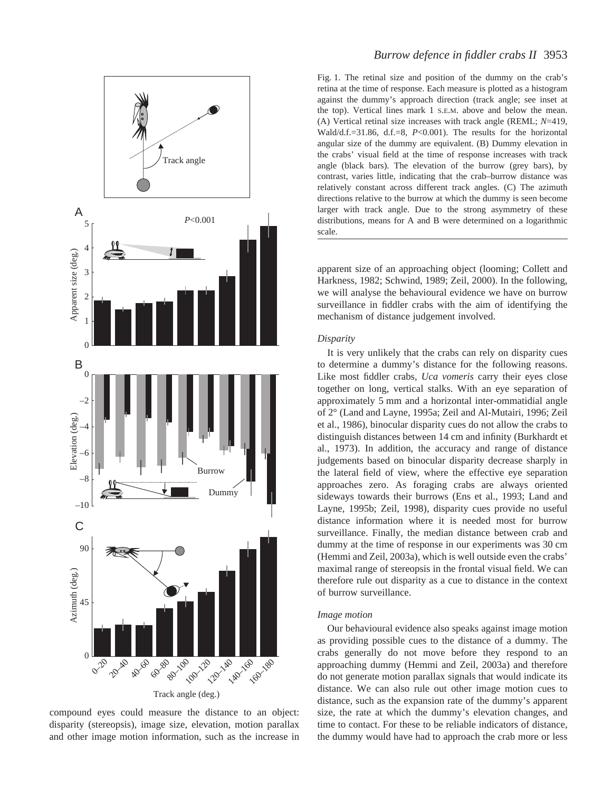

## *Burrow defence in fiddler crabs II* 3953

Fig. 1. The retinal size and position of the dummy on the crab's retina at the time of response. Each measure is plotted as a histogram against the dummy's approach direction (track angle; see inset at the top). Vertical lines mark 1 S.E.M. above and below the mean. (A) Vertical retinal size increases with track angle (REML; *N*=419, Wald/d.f.=31.86, d.f.=8, *P*<0.001). The results for the horizontal angular size of the dummy are equivalent. (B) Dummy elevation in the crabs' visual field at the time of response increases with track angle (black bars). The elevation of the burrow (grey bars), by contrast, varies little, indicating that the crab–burrow distance was relatively constant across different track angles. (C) The azimuth directions relative to the burrow at which the dummy is seen become larger with track angle. Due to the strong asymmetry of these distributions, means for A and B were determined on a logarithmic scale.

apparent size of an approaching object (looming; Collett and Harkness, 1982; Schwind, 1989; Zeil, 2000). In the following, we will analyse the behavioural evidence we have on burrow surveillance in fiddler crabs with the aim of identifying the mechanism of distance judgement involved.

#### *Disparity*

It is very unlikely that the crabs can rely on disparity cues to determine a dummy's distance for the following reasons. Like most fiddler crabs, *Uca vomeris* carry their eyes close together on long, vertical stalks. With an eye separation of approximately 5 mm and a horizontal inter-ommatidial angle of 2° (Land and Layne, 1995a; Zeil and Al-Mutairi, 1996; Zeil et al., 1986), binocular disparity cues do not allow the crabs to distinguish distances between 14 cm and infinity (Burkhardt et al., 1973). In addition, the accuracy and range of distance judgements based on binocular disparity decrease sharply in the lateral field of view, where the effective eye separation approaches zero. As foraging crabs are always oriented sideways towards their burrows (Ens et al., 1993; Land and Layne, 1995b; Zeil, 1998), disparity cues provide no useful distance information where it is needed most for burrow surveillance. Finally, the median distance between crab and dummy at the time of response in our experiments was 30 cm (Hemmi and Zeil, 2003a), which is well outside even the crabs' maximal range of stereopsis in the frontal visual field. We can therefore rule out disparity as a cue to distance in the context of burrow surveillance.

### *Image motion*

Our behavioural evidence also speaks against image motion as providing possible cues to the distance of a dummy. The crabs generally do not move before they respond to an approaching dummy (Hemmi and Zeil, 2003a) and therefore do not generate motion parallax signals that would indicate its distance. We can also rule out other image motion cues to distance, such as the expansion rate of the dummy's apparent size, the rate at which the dummy's elevation changes, and time to contact. For these to be reliable indicators of distance, the dummy would have had to approach the crab more or less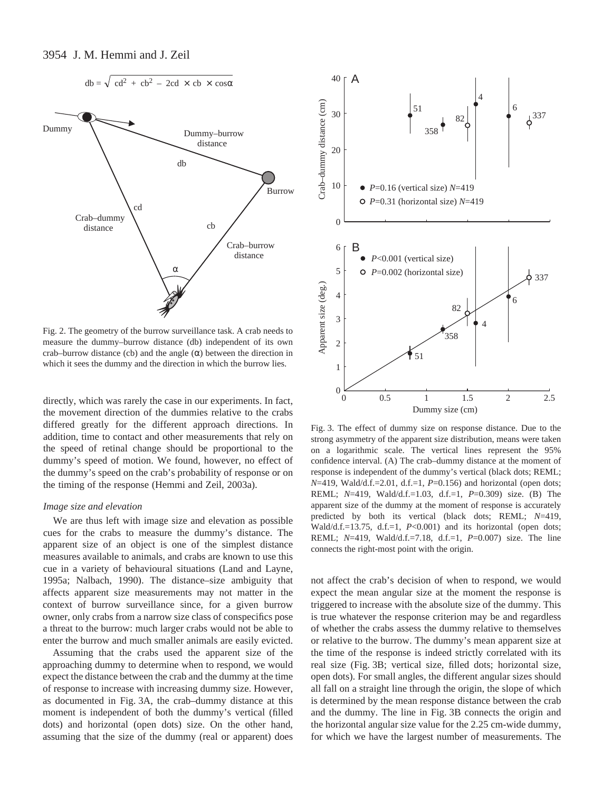

Fig. 2. The geometry of the burrow surveillance task. A crab needs to measure the dummy–burrow distance (db) independent of its own crab–burrow distance (cb) and the angle  $(\alpha)$  between the direction in which it sees the dummy and the direction in which the burrow lies.

directly, which was rarely the case in our experiments. In fact, the movement direction of the dummies relative to the crabs differed greatly for the different approach directions. In addition, time to contact and other measurements that rely on the speed of retinal change should be proportional to the dummy's speed of motion. We found, however, no effect of the dummy's speed on the crab's probability of response or on the timing of the response (Hemmi and Zeil, 2003a).

## *Image size and elevation*

We are thus left with image size and elevation as possible cues for the crabs to measure the dummy's distance. The apparent size of an object is one of the simplest distance measures available to animals, and crabs are known to use this cue in a variety of behavioural situations (Land and Layne, 1995a; Nalbach, 1990). The distance–size ambiguity that affects apparent size measurements may not matter in the context of burrow surveillance since, for a given burrow owner, only crabs from a narrow size class of conspecifics pose a threat to the burrow: much larger crabs would not be able to enter the burrow and much smaller animals are easily evicted.

Assuming that the crabs used the apparent size of the approaching dummy to determine when to respond, we would expect the distance between the crab and the dummy at the time of response to increase with increasing dummy size. However, as documented in Fig. 3A, the crab–dummy distance at this moment is independent of both the dummy's vertical (filled dots) and horizontal (open dots) size. On the other hand, assuming that the size of the dummy (real or apparent) does



Fig. 3. The effect of dummy size on response distance. Due to the strong asymmetry of the apparent size distribution, means were taken on a logarithmic scale. The vertical lines represent the 95% confidence interval. (A) The crab–dummy distance at the moment of response is independent of the dummy's vertical (black dots; REML;  $N=419$ , Wald/d.f.=2.01, d.f.=1,  $P=0.156$ ) and horizontal (open dots; REML; *N*=419, Wald/d.f.=1.03, d.f.=1, *P*=0.309) size. (B) The apparent size of the dummy at the moment of response is accurately predicted by both its vertical (black dots; REML; *N*=419, Wald/d.f.=13.75, d.f.=1, *P*<0.001) and its horizontal (open dots; REML; *N*=419, Wald/d.f.=7.18, d.f.=1, *P*=0.007) size. The line connects the right-most point with the origin.

not affect the crab's decision of when to respond, we would expect the mean angular size at the moment the response is triggered to increase with the absolute size of the dummy. This is true whatever the response criterion may be and regardless of whether the crabs assess the dummy relative to themselves or relative to the burrow. The dummy's mean apparent size at the time of the response is indeed strictly correlated with its real size (Fig. 3B; vertical size, filled dots; horizontal size, open dots). For small angles, the different angular sizes should all fall on a straight line through the origin, the slope of which is determined by the mean response distance between the crab and the dummy. The line in Fig. 3B connects the origin and the horizontal angular size value for the 2.25 cm-wide dummy, for which we have the largest number of measurements. The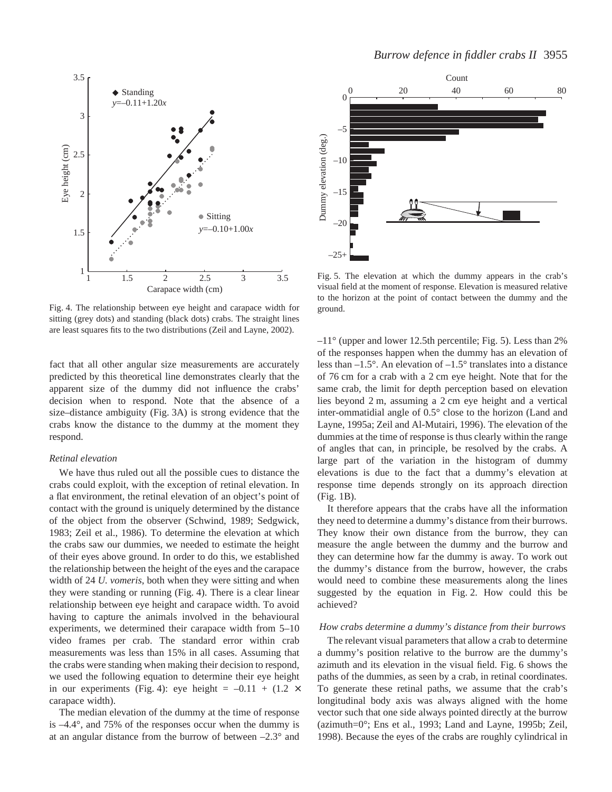



Fig. 4. The relationship between eye height and carapace width for ground. sitting (grey dots) and standing (black dots) crabs. The straight lines are least squares fits to the two distributions (Zeil and Layne, 2002).

fact that all other angular size measurements are accurately predicted by this theoretical line demonstrates clearly that the apparent size of the dummy did not influence the crabs' decision when to respond. Note that the absence of a size–distance ambiguity (Fig. 3A) is strong evidence that the crabs know the distance to the dummy at the moment they respond.

#### *Retinal elevation*

We have thus ruled out all the possible cues to distance the crabs could exploit, with the exception of retinal elevation. In a flat environment, the retinal elevation of an object's point of contact with the ground is uniquely determined by the distance of the object from the observer (Schwind, 1989; Sedgwick, 1983; Zeil et al., 1986). To determine the elevation at which the crabs saw our dummies, we needed to estimate the height of their eyes above ground. In order to do this, we established the relationship between the height of the eyes and the carapace width of 24 *U. vomeris*, both when they were sitting and when they were standing or running (Fig. 4). There is a clear linear relationship between eye height and carapace width. To avoid having to capture the animals involved in the behavioural experiments, we determined their carapace width from 5–10 video frames per crab. The standard error within crab measurements was less than 15% in all cases. Assuming that the crabs were standing when making their decision to respond, we used the following equation to determine their eye height in our experiments (Fig. 4): eye height =  $-0.11 + (1.2 \times$ carapace width).

The median elevation of the dummy at the time of response is –4.4°, and 75% of the responses occur when the dummy is at an angular distance from the burrow of between –2.3° and

Fig. 5. The elevation at which the dummy appears in the crab's visual field at the moment of response. Elevation is measured relative to the horizon at the point of contact between the dummy and the

 $-11^{\circ}$  (upper and lower 12.5th percentile; Fig. 5). Less than 2% of the responses happen when the dummy has an elevation of less than  $-1.5^\circ$ . An elevation of  $-1.5^\circ$  translates into a distance of 76 cm for a crab with a 2 cm eye height. Note that for the same crab, the limit for depth perception based on elevation lies beyond 2 m, assuming a 2 cm eye height and a vertical inter-ommatidial angle of 0.5° close to the horizon (Land and Layne, 1995a; Zeil and Al-Mutairi, 1996). The elevation of the dummies at the time of response is thus clearly within the range of angles that can, in principle, be resolved by the crabs. A large part of the variation in the histogram of dummy elevations is due to the fact that a dummy's elevation at response time depends strongly on its approach direction  $(Fig. 1B)$ .

It therefore appears that the crabs have all the information they need to determine a dummy's distance from their burrows. They know their own distance from the burrow, they can measure the angle between the dummy and the burrow and they can determine how far the dummy is away. To work out the dummy's distance from the burrow, however, the crabs would need to combine these measurements along the lines suggested by the equation in Fig. 2. How could this be achieved?

### *How crabs determine a dummy's distance from their burrows*

The relevant visual parameters that allow a crab to determine a dummy's position relative to the burrow are the dummy's azimuth and its elevation in the visual field. Fig. 6 shows the paths of the dummies, as seen by a crab, in retinal coordinates. To generate these retinal paths, we assume that the crab's longitudinal body axis was always aligned with the home vector such that one side always pointed directly at the burrow (azimuth=0°; Ens et al., 1993; Land and Layne, 1995b; Zeil, 1998). Because the eyes of the crabs are roughly cylindrical in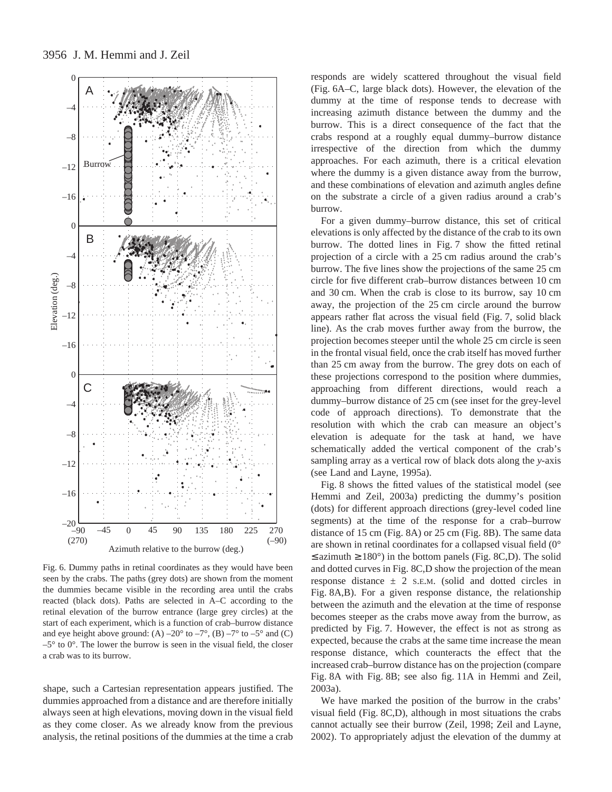

Fig. 6. Dummy paths in retinal coordinates as they would have been seen by the crabs. The paths (grey dots) are shown from the moment the dummies became visible in the recording area until the crabs reacted (black dots). Paths are selected in A–C according to the retinal elevation of the burrow entrance (large grey circles) at the start of each experiment, which is a function of crab–burrow distance and eye height above ground: (A) –20 $\degree$  to –7 $\degree$ , (B) –7 $\degree$  to –5 $\degree$  and (C)  $-5^{\circ}$  to  $0^{\circ}$ . The lower the burrow is seen in the visual field, the closer a crab was to its burrow.

shape, such a Cartesian representation appears justified. The dummies approached from a distance and are therefore initially always seen at high elevations, moving down in the visual field as they come closer. As we already know from the previous analysis, the retinal positions of the dummies at the time a crab responds are widely scattered throughout the visual field (Fig.  $6A-C$ , large black dots). However, the elevation of the dummy at the time of response tends to decrease with increasing azimuth distance between the dummy and the burrow. This is a direct consequence of the fact that the crabs respond at a roughly equal dummy–burrow distance irrespective of the direction from which the dummy approaches. For each azimuth, there is a critical elevation where the dummy is a given distance away from the burrow, and these combinations of elevation and azimuth angles define on the substrate a circle of a given radius around a crab's burrow.

For a given dummy–burrow distance, this set of critical elevations is only affected by the distance of the crab to its own burrow. The dotted lines in Fig. 7 show the fitted retinal projection of a circle with a 25 cm radius around the crab's burrow. The five lines show the projections of the same 25 cm circle for five different crab–burrow distances between 10 cm and 30 cm. When the crab is close to its burrow, say 10 cm away, the projection of the 25 cm circle around the burrow appears rather flat across the visual field (Fig. 7, solid black line). As the crab moves further away from the burrow, the projection becomes steeper until the whole 25 cm circle is seen in the frontal visual field, once the crab itself has moved further than 25 cm away from the burrow. The grey dots on each of these projections correspond to the position where dummies, approaching from different directions, would reach a dummy–burrow distance of 25 cm (see inset for the grey-level code of approach directions). To demonstrate that the resolution with which the crab can measure an object's elevation is adequate for the task at hand, we have schematically added the vertical component of the crab's sampling array as a vertical row of black dots along the *y*-axis (see Land and Layne, 1995a).

Fig. 8 shows the fitted values of the statistical model (see Hemmi and Zeil, 2003a) predicting the dummy's position (dots) for different approach directions (grey-level coded line segments) at the time of the response for a crab–burrow distance of 15 cm (Fig. 8A) or 25 cm (Fig. 8B). The same data are shown in retinal coordinates for a collapsed visual field (0°  $\leq$  azimuth  $\geq$  180°) in the bottom panels (Fig. 8C,D). The solid and dotted curves in Fig. 8C,D show the projection of the mean response distance  $\pm$  2 s.E.M. (solid and dotted circles in Fig. 8A,B). For a given response distance, the relationship between the azimuth and the elevation at the time of response becomes steeper as the crabs move away from the burrow, as predicted by Fig. 7. However, the effect is not as strong as expected, because the crabs at the same time increase the mean response distance, which counteracts the effect that the increased crab–burrow distance has on the projection (compare Fig. 8A with Fig. 8B; see also fig. 11A in Hemmi and Zeil, 2003a).

We have marked the position of the burrow in the crabs' visual field (Fig. 8C,D), although in most situations the crabs cannot actually see their burrow (Zeil, 1998; Zeil and Layne, 2002). To appropriately adjust the elevation of the dummy at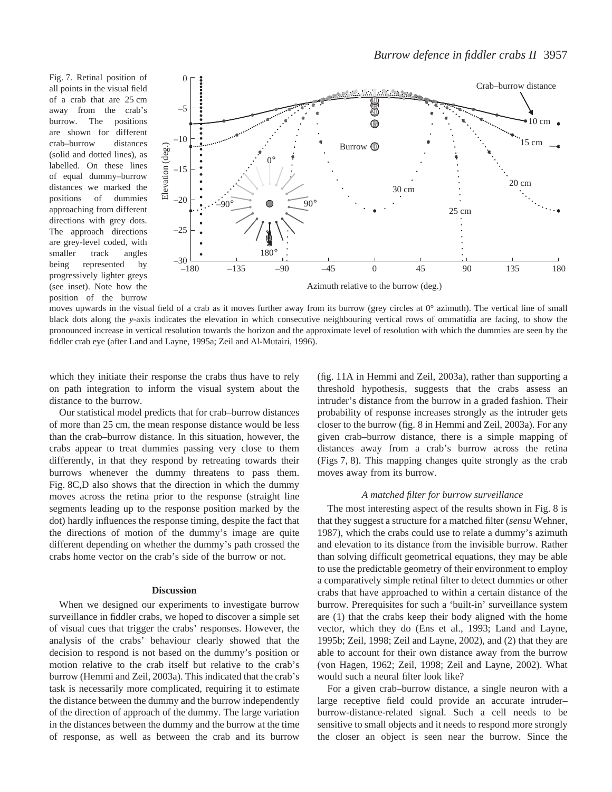Fig. 7. Retinal position of all points in the visual field of a crab that are 25 cm away from the crab's burrow. The positions are shown for different crab–burrow distances (solid and dotted lines), as labelled. On these lines of equal dummy–burrow distances we marked the positions of dummies approaching from different directions with grey dots. The approach directions are grey-level coded, with smaller track angles being represented by progressively lighter greys (see inset). Note how the position of the burrow



moves upwards in the visual field of a crab as it moves further away from its burrow (grey circles at 0° azimuth). The vertical line of small black dots along the *y*-axis indicates the elevation in which consecutive neighbouring vertical rows of ommatidia are facing, to show the pronounced increase in vertical resolution towards the horizon and the approximate level of resolution with which the dummies are seen by the

which they initiate their response the crabs thus have to rely on path integration to inform the visual system about the distance to the burrow.

Our statistical model predicts that for crab–burrow distances of more than 25 cm, the mean response distance would be less than the crab–burrow distance. In this situation, however, the crabs appear to treat dummies passing very close to them differently, in that they respond by retreating towards their burrows whenever the dummy threatens to pass them. Fig. 8C,D also shows that the direction in which the dummy moves across the retina prior to the response (straight line segments leading up to the response position marked by the dot) hardly influences the response timing, despite the fact that the directions of motion of the dummy's image are quite different depending on whether the dummy's path crossed the crabs home vector on the crab's side of the burrow or not.

#### **Discussion**

When we designed our experiments to investigate burrow surveillance in fiddler crabs, we hoped to discover a simple set of visual cues that trigger the crabs' responses. However, the analysis of the crabs' behaviour clearly showed that the decision to respond is not based on the dummy's position or motion relative to the crab itself but relative to the crab's burrow (Hemmi and Zeil, 2003a). This indicated that the crab's task is necessarily more complicated, requiring it to estimate the distance between the dummy and the burrow independently of the direction of approach of the dummy. The large variation in the distances between the dummy and the burrow at the time of response, as well as between the crab and its burrow  $(fig. 11A$  in Hemmi and Zeil, 2003a), rather than supporting a threshold hypothesis, suggests that the crabs assess an intruder's distance from the burrow in a graded fashion. Their probability of response increases strongly as the intruder gets closer to the burrow (fig. 8 in Hemmi and Zeil, 2003a). For any given crab–burrow distance, there is a simple mapping of distances away from a crab's burrow across the retina (Figs  $7, 8$ ). This mapping changes quite strongly as the crab moves away from its burrow.

#### *A matched filter for burrow surveillance*

The most interesting aspect of the results shown in Fig. 8 is that they suggest a structure for a matched filter (*sensu* Wehner, 1987), which the crabs could use to relate a dummy's azimuth and elevation to its distance from the invisible burrow. Rather than solving difficult geometrical equations, they may be able to use the predictable geometry of their environment to employ a comparatively simple retinal filter to detect dummies or other crabs that have approached to within a certain distance of the burrow. Prerequisites for such a 'built-in' surveillance system are (1) that the crabs keep their body aligned with the home vector, which they do (Ens et al., 1993; Land and Layne, 1995b; Zeil, 1998; Zeil and Layne, 2002), and (2) that they are able to account for their own distance away from the burrow (von Hagen, 1962; Zeil, 1998; Zeil and Layne, 2002). What would such a neural filter look like?

For a given crab–burrow distance, a single neuron with a large receptive field could provide an accurate intruder– burrow-distance-related signal. Such a cell needs to be sensitive to small objects and it needs to respond more strongly the closer an object is seen near the burrow. Since the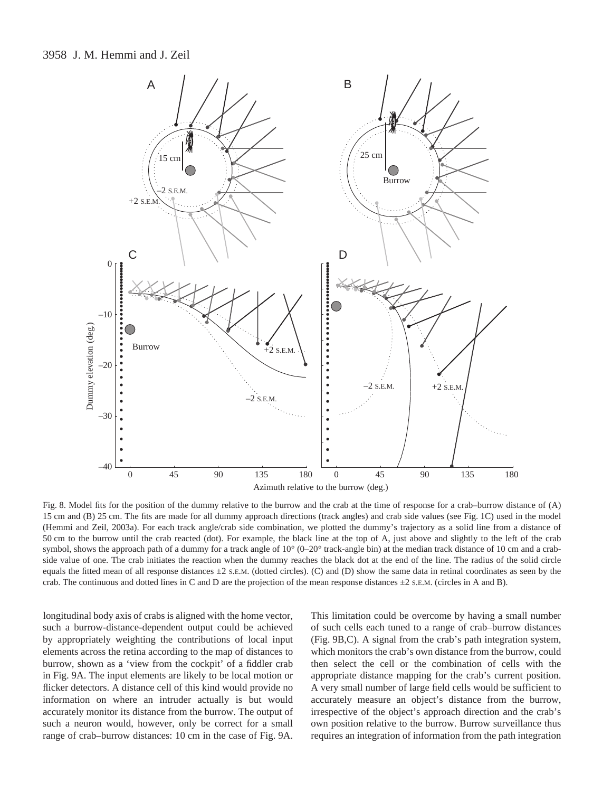

Fig. 8. Model fits for the position of the dummy relative to the burrow and the crab at the time of response for a crab–burrow distance of (A) 15 cm and (B) 25 cm. The fits are made for all dummy approach directions (track angles) and crab side values (see Fig. 1C) used in the model (Hemmi and Zeil, 2003a). For each track angle/crab side combination, we plotted the dummy's trajectory as a solid line from a distance of 50 cm to the burrow until the crab reacted (dot). For example, the black line at the top of A, just above and slightly to the left of the crab symbol, shows the approach path of a dummy for a track angle of 10° (0–20° track-angle bin) at the median track distance of 10 cm and a crabside value of one. The crab initiates the reaction when the dummy reaches the black dot at the end of the line. The radius of the solid circle equals the fitted mean of all response distances  $\pm 2$  S.E.M. (dotted circles). (C) and (D) show the same data in retinal coordinates as seen by the crab. The continuous and dotted lines in C and D are the projection of the mean response distances  $\pm 2$  S.E.M. (circles in A and B).

longitudinal body axis of crabs is aligned with the home vector, such a burrow-distance-dependent output could be achieved by appropriately weighting the contributions of local input elements across the retina according to the map of distances to burrow, shown as a 'view from the cockpit' of a fiddler crab in Fig. 9A. The input elements are likely to be local motion or flicker detectors. A distance cell of this kind would provide no information on where an intruder actually is but would accurately monitor its distance from the burrow. The output of such a neuron would, however, only be correct for a small range of crab–burrow distances: 10 cm in the case of Fig. 9A. This limitation could be overcome by having a small number of such cells each tuned to a range of crab–burrow distances (Fig. 9B,C). A signal from the crab's path integration system, which monitors the crab's own distance from the burrow, could then select the cell or the combination of cells with the appropriate distance mapping for the crab's current position. A very small number of large field cells would be sufficient to accurately measure an object's distance from the burrow, irrespective of the object's approach direction and the crab's own position relative to the burrow. Burrow surveillance thus requires an integration of information from the path integration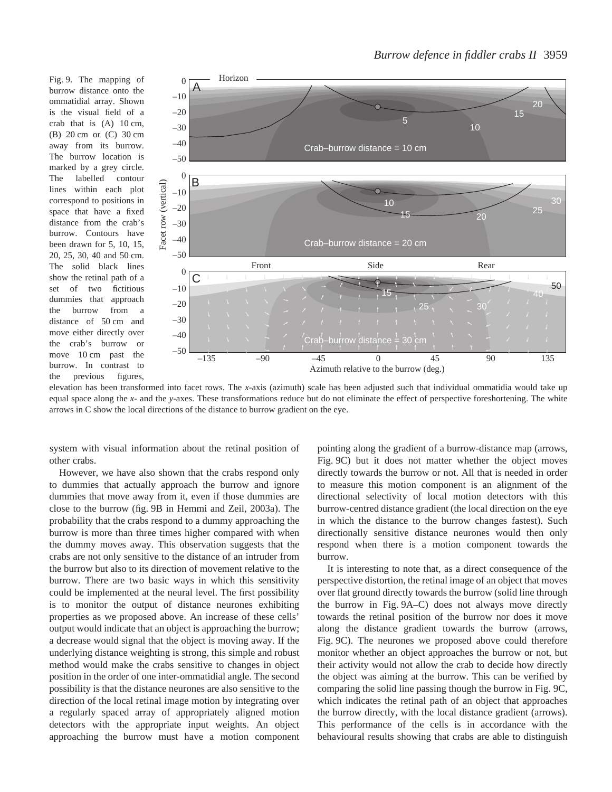Fig. 9. The mapping of burrow distance onto the ommatidial array. Shown is the visual field of a crab that is  $(A)$  10 cm, (B)  $20 \text{ cm}$  or (C)  $30 \text{ cm}$ away from its burrow. The burrow location is marked by a grey circle. The labelled contour lines within each plot correspond to positions in space that have a fixed distance from the crab's burrow. Contours have been drawn for 5, 10, 15, 20, 25, 30, 40 and 50 cm. The solid black lines show the retinal path of a set of two fictitious dummies that approach the burrow from a distance of 50 cm and move either directly over the crab's burrow or move 10 cm past the burrow. In contrast to the previous figures,



elevation has been transformed into facet rows. The *x*-axis (azimuth) scale has been adjusted such that individual ommatidia would take up equal space along the *x*- and the *y*-axes. These transformations reduce but do not eliminate the effect of perspective foreshortening. The white arrows in C show the local directions of the distance to burrow gradient on the eye.

system with visual information about the retinal position of other crabs.

However, we have also shown that the crabs respond only to dummies that actually approach the burrow and ignore dummies that move away from it, even if those dummies are close to the burrow (fig. 9B in Hemmi and Zeil, 2003a). The probability that the crabs respond to a dummy approaching the burrow is more than three times higher compared with when the dummy moves away. This observation suggests that the crabs are not only sensitive to the distance of an intruder from the burrow but also to its direction of movement relative to the burrow. There are two basic ways in which this sensitivity could be implemented at the neural level. The first possibility is to monitor the output of distance neurones exhibiting properties as we proposed above. An increase of these cells' output would indicate that an object is approaching the burrow; a decrease would signal that the object is moving away. If the underlying distance weighting is strong, this simple and robust method would make the crabs sensitive to changes in object position in the order of one inter-ommatidial angle. The second possibility is that the distance neurones are also sensitive to the direction of the local retinal image motion by integrating over a regularly spaced array of appropriately aligned motion detectors with the appropriate input weights. An object approaching the burrow must have a motion component

pointing along the gradient of a burrow-distance map (arrows, Fig. 9C) but it does not matter whether the object moves directly towards the burrow or not. All that is needed in order to measure this motion component is an alignment of the directional selectivity of local motion detectors with this burrow-centred distance gradient (the local direction on the eye in which the distance to the burrow changes fastest). Such directionally sensitive distance neurones would then only respond when there is a motion component towards the burrow.

It is interesting to note that, as a direct consequence of the perspective distortion, the retinal image of an object that moves over flat ground directly towards the burrow (solid line through the burrow in Fig. 9A–C) does not always move directly towards the retinal position of the burrow nor does it move along the distance gradient towards the burrow (arrows, Fig. 9C). The neurones we proposed above could therefore monitor whether an object approaches the burrow or not, but their activity would not allow the crab to decide how directly the object was aiming at the burrow. This can be verified by comparing the solid line passing though the burrow in Fig. 9C, which indicates the retinal path of an object that approaches the burrow directly, with the local distance gradient (arrows). This performance of the cells is in accordance with the behavioural results showing that crabs are able to distinguish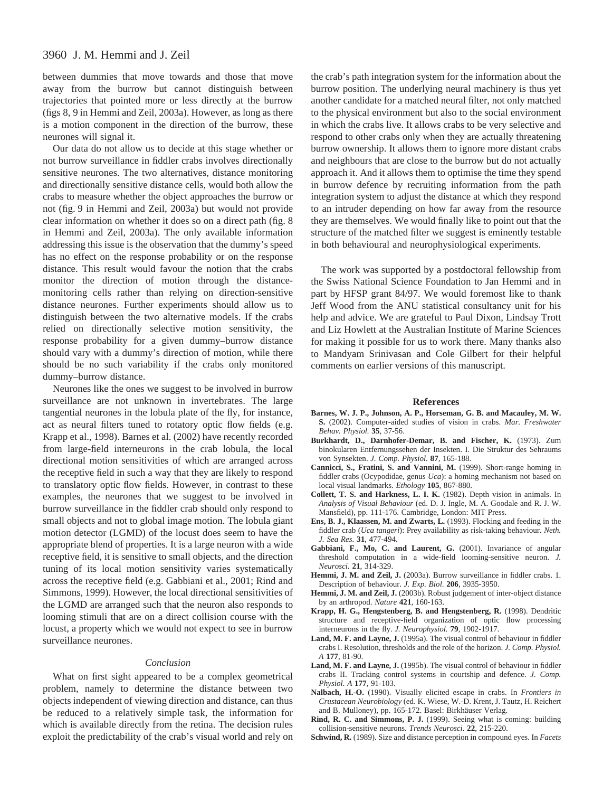# 3960 J. M. Hemmi and J. Zeil

between dummies that move towards and those that move away from the burrow but cannot distinguish between trajectories that pointed more or less directly at the burrow (figs  $8, 9$  in Hemmi and Zeil, 2003a). However, as long as there is a motion component in the direction of the burrow, these neurones will signal it.

Our data do not allow us to decide at this stage whether or not burrow surveillance in fiddler crabs involves directionally sensitive neurones. The two alternatives, distance monitoring and directionally sensitive distance cells, would both allow the crabs to measure whether the object approaches the burrow or not (fig. 9 in Hemmi and Zeil, 2003a) but would not provide clear information on whether it does so on a direct path (fig. 8) in Hemmi and Zeil, 2003a). The only available information addressing this issue is the observation that the dummy's speed has no effect on the response probability or on the response distance. This result would favour the notion that the crabs monitor the direction of motion through the distancemonitoring cells rather than relying on direction-sensitive distance neurones. Further experiments should allow us to distinguish between the two alternative models. If the crabs relied on directionally selective motion sensitivity, the response probability for a given dummy–burrow distance should vary with a dummy's direction of motion, while there should be no such variability if the crabs only monitored dummy–burrow distance.

Neurones like the ones we suggest to be involved in burrow surveillance are not unknown in invertebrates. The large tangential neurones in the lobula plate of the fly, for instance, act as neural filters tuned to rotatory optic flow fields (e.g. Krapp et al., 1998). Barnes et al. (2002) have recently recorded from large-field interneurons in the crab lobula, the local directional motion sensitivities of which are arranged across the receptive field in such a way that they are likely to respond to translatory optic flow fields. However, in contrast to these examples, the neurones that we suggest to be involved in burrow surveillance in the fiddler crab should only respond to small objects and not to global image motion. The lobula giant motion detector (LGMD) of the locust does seem to have the appropriate blend of properties. It is a large neuron with a wide receptive field, it is sensitive to small objects, and the direction tuning of its local motion sensitivity varies systematically across the receptive field (e.g. Gabbiani et al., 2001; Rind and Simmons, 1999). However, the local directional sensitivities of the LGMD are arranged such that the neuron also responds to looming stimuli that are on a direct collision course with the locust, a property which we would not expect to see in burrow surveillance neurones.

### *Conclusion*

What on first sight appeared to be a complex geometrical problem, namely to determine the distance between two objects independent of viewing direction and distance, can thus be reduced to a relatively simple task, the information for which is available directly from the retina. The decision rules exploit the predictability of the crab's visual world and rely on

the crab's path integration system for the information about the burrow position. The underlying neural machinery is thus yet another candidate for a matched neural filter, not only matched to the physical environment but also to the social environment in which the crabs live. It allows crabs to be very selective and respond to other crabs only when they are actually threatening burrow ownership. It allows them to ignore more distant crabs and neighbours that are close to the burrow but do not actually approach it. And it allows them to optimise the time they spend in burrow defence by recruiting information from the path integration system to adjust the distance at which they respond to an intruder depending on how far away from the resource they are themselves. We would finally like to point out that the structure of the matched filter we suggest is eminently testable in both behavioural and neurophysiological experiments.

The work was supported by a postdoctoral fellowship from the Swiss National Science Foundation to Jan Hemmi and in part by HFSP grant 84/97. We would foremost like to thank Jeff Wood from the ANU statistical consultancy unit for his help and advice. We are grateful to Paul Dixon, Lindsay Trott and Liz Howlett at the Australian Institute of Marine Sciences for making it possible for us to work there. Many thanks also to Mandyam Srinivasan and Cole Gilbert for their helpful comments on earlier versions of this manuscript.

#### **References**

- **Barnes, W. J. P., Johnson, A. P., Horseman, G. B. and Macauley, M. W. S.** (2002). Computer-aided studies of vision in crabs. *Mar. Freshwater Behav. Physiol.* **35**, 37-56.
- **Burkhardt, D., Darnhofer-Demar, B. and Fischer, K.** (1973). Zum binokularen Entfernungssehen der Insekten. I. Die Struktur des Sehraums von Synsekten. *J. Comp. Physiol.* **87**, 165-188.
- **Cannicci, S., Fratini, S. and Vannini, M.** (1999). Short-range homing in fiddler crabs (Ocypodidae, genus *Uca*): a homing mechanism not based on local visual landmarks. *Ethology* **105**, 867-880.
- **Collett, T. S. and Harkness, L. I. K.** (1982). Depth vision in animals. In *Analysis of Visual Behaviour* (ed. D. J. Ingle, M. A. Goodale and R. J. W. Mansfield), pp. 111-176. Cambridge, London: MIT Press.
- **Ens, B. J., Klaassen, M. and Zwarts, L.** (1993). Flocking and feeding in the fiddler crab (*Uca tangeri*): Prey availability as risk-taking behaviour. *Neth. J. Sea Res.* **31**, 477-494.
- **Gabbiani, F., Mo, C. and Laurent, G.** (2001). Invariance of angular threshold computation in a wide-field looming-sensitive neuron. *J. Neurosci.* **21**, 314-329.
- **Hemmi, J. M. and Zeil, J.** (2003a). Burrow surveillance in fiddler crabs. 1. Description of behaviour. *J. Exp. Biol*. **206**, 3935-3950.
- **Hemmi, J. M. and Zeil, J.** (2003b). Robust judgement of inter-object distance by an arthropod. *Nature* **421**, 160-163.
- **Krapp, H. G., Hengstenberg, B. and Hengstenberg, R.** (1998). Dendritic structure and receptive-field organization of optic flow processing interneurons in the fly. *J. Neurophysiol.* **79**, 1902-1917.
- **Land, M. F. and Layne, J.** (1995a). The visual control of behaviour in fiddler crabs I. Resolution, thresholds and the role of the horizon. *J. Comp. Physiol. A* **177**, 81-90.
- **Land, M. F. and Layne, J.** (1995b). The visual control of behaviour in fiddler crabs II. Tracking control systems in courtship and defence. *J. Comp. Physiol. A* **177**, 91-103.
- **Nalbach, H.-O.** (1990). Visually elicited escape in crabs. In *Frontiers in Crustacean Neurobiology* (ed. K. Wiese, W.-D. Krent, J. Tautz, H. Reichert and B. Mulloney), pp. 165-172. Basel: Birkhäuser Verlag.
- **Rind, R. C. and Simmons, P. J.** (1999). Seeing what is coming: building collision-sensitive neurons. *Trends Neurosci.* **22**, 215-220.
- **Schwind, R.** (1989). Size and distance perception in compound eyes. In *Facets*